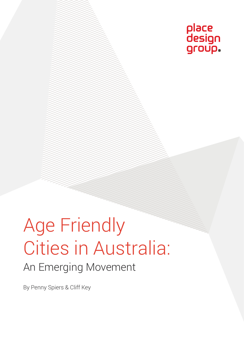

# Age Friendly Cities in Australia: An Emerging Movement

By Penny Spiers & Cliff Key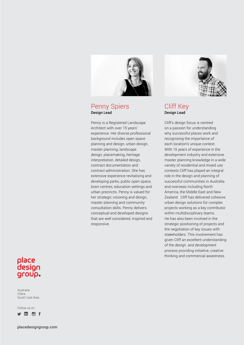

#### Penny Spiers Design Lead

Penny is a Registered Landscape Architect with over 15 years' experience. Her diverse professional background includes open space planning and design, urban design, master planning, landscape design, placemaking, heritage interpretation, detailed design, contract documentation and contract administration. She has extensive experience revitalising and developing parks, public open space, town centres, education settings and urban precincts. Penny is valued for her strategic visioning and design, master planning and community consultation skills. Penny delivers conceptual and developed designs that are well considered, inspired and responsive.



#### Cliff Key Design Lead

Cliff's design focus is centred on a passion for understanding why successful places work and recognising the importance of each location's unique context. With 15 years of experience in the development industry and extensive master planning knowledge in a wide variety of residential and mixed use contexts Cliff has played an integral role in the design and planning of successful communities in Australia and overseas including North America, the Middle East and New Zealand. Cliff has delivered cohesive urban design solutions for complex projects working as a key contributor within multidisciplinary teams. He has also been involved in the strategic positioning of projects and the negotiation of key issues with stakeholders. This involvement has given Cliff an excellent understanding of the design and development process providing initiative, creative thinking and commercial awareness.

#### place design group.

Australia China South East Asia

Follow us on

in of

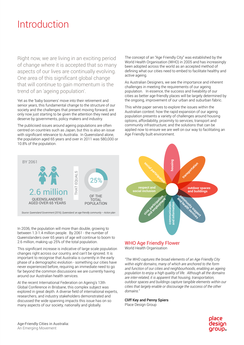### Introduction

Right now, we are living in an exciting period of change where it is accepted that so many aspects of our lives are continually evolving. One area of this significant global change that will continue to gain momentum is the trend of an 'ageing population'.

Yet as the 'baby boomers' move into their retirement and senior years, this fundamental change to the structure of our society and the challenges that present moving forward, are only now just starting to be given the attention they need and deserve by governments, policy makers and industry.

The publicised issues around ageing populations are often centred on countries such as Japan, but this is also an issue with significant relevance to Australia. In Queensland alone, the population aged 65 years and over in 2011 was 580,000 or 10.8% of the population.



*Source: Queensland Government (2016), Queensland: an age friendly community – Action plan*

In 2036, the population will more than double, growing to between 1.3-1.4 million people. By 2061 - the number of Queenslanders over 65 years of age will continue to boom to 2.6 million, making up 25% of the total population.

This significant increase is indicative of large scale population changes right across our country, and can't be ignored. It is important to recognise that Australia is currently in the early phase of a demographic evolution - something our cities have never experienced before, requiring an immediate need to go far beyond the common discussions we are currently having around our Australian health services.

At the recent International Federation on Ageing's 13th Global Conference in Brisbane, this complex subject was explored in great depth. A diverse field of international experts, researchers, and industry stakeholders demonstrated and discussed the wide spanning impacts this issue has on so many aspects of our society, nationally and globally.

The concept of an "Age Friendly City" was established by the World Health Organisation (WHO) in 2005 and has increasingly been adopted across the world as an accepted method of defining what our cities need to embed to facilitate healthy and active ageing.

As Australian Designers, we see the importance and inherent challenges in meeting the requirements of our ageing population. In essence, the success and liveability of our cities as better age-friendly places will be largely determined by the ongoing, improvement of our urban and suburban fabric.

This white paper serves to explore the issues within the Australian context: how the rapid expansion of our ageing population presents a variety of challenges around housing options, affordability, proximity to services, transport and community infrastructure; and the solutions that can be applied now to ensure we are well on our way to facilitating an Age Friendly built environment.



#### WHO Age Friendly Flower World Health Organisation

*"The WHO captures the broad elements of an Age Friendly City within eight domains, many of which are anchored to the form and function of our cities and neighbourhoods, enabling an ageing population to enjoy a high quality of life. Although all the domains are inter-related, it is apparent that housing, transportation, outdoor spaces and buildings capture tangible elements within our cities that largely enable or discourage the success of the other domains."*

#### Cliff Key and Penny Spiers

Place Design Group

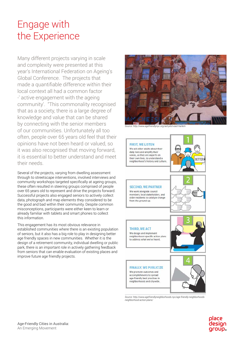## Engage with the Experience

Many different projects varying in scale and complexity were presented at this year's International Federation on Ageing's Global Conference. The projects that made a quantifiable difference within their local context all had a common factor -' active engagement with the ageing community'. "This commonality recognised that as a society, there is a large degree of knowledge and value that can be shared by connecting with the senior members of our communities. Unfortunately all too often, people over 65 years old feel that their opinions have not been heard or valued, so it was also recognised that moving forward, it is essential to better understand and meet their needs.

Several of the projects, varying from dwelling assessment through to streetscape interventions, involved interviews and community workshops targeted specifically at ageing groups, these often resulted in steering groups comprised of people over 65 years old to represent and drive the projects forward. Successful projects also engaged seniors to actively collect data, photograph and map elements they considered to be the good and bad within their community. Despite common misconceptions, participants were either keen to learn or already familiar with tablets and smart phones to collect this information.

This engagement has its most obvious relevance in established communities where there is an existing population of seniors, but it also has a big role to play in designing better age friendly spaces in new communities. Whether it is the design of a retirement community, individual dwelling or public park, there is an important role in actively gathering feedback from seniors that can enable evaluation of existing places and improve future age friendly projects.



*Source: http://www.agefriendlynyc.org/aid-pilot-east-harlem*



*Source: http://www.agefriendlyneighborhoods.nyc/age-friendly-neighborhoodsneighborhood-action-plans/*

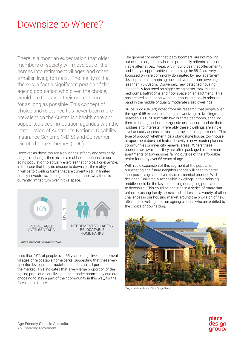#### Downsize to Where?

There is almost an expectation that older members of society will move out of their homes into retirement villages and other 'smaller' living formats. The reality is that there is in fact a significant portion of the ageing population who given the choice, would like to stay in their current home for as long as possible. This concept of choice and relevance has never been more prevalent on the Australian health care and supported accommodation agendas with the introduction of Australia's National Disability Insurance Scheme (NDIS) and Consumer Directed Care schemes (CDC).

However, as these too are also in their infancy and very early stages of change, there is still a real lack of options for our aging population to actually exercise that choice. For example, in the case that they do choose to downsize, the reality is that it will be to dwelling forms that are currently still in limited supply in Australia, lending reason to perhaps why there is currently limited turn over in this space.



Less than 10% of people over 65 years of age live in retirement villages or relocatable home parks, suggesting that these very specific development models appeal to a small portion of the market. This indicates that a very large proportion of the ageing population are living in the broader community and are choosing to stay a part of their community in this way, for the foreseeable future.

The general comment that 'baby boomers' are not moving out of their large family homes potentially reflects a lack of viable alternatives. Areas within our cities that offer amenity and lifestyle opportunities - something the 65+'s are very focussed on - are commonly dominated by new apartment developments comprising one and two bedroom dwellings less than 75-80sqm. Conversely, new detached housing is generally focussed on bigger being better, maximising bedrooms, bathrooms and floor space on an allotment. This has created a situation where our housing stock is missing a band in the middle of quality moderate sized dwellings.

Bruce Judd (UNSW) noted from his research that people over the age of 65 express interest in downsizing to dwellings between 100-150sqm with two or three bedrooms, enabling them to host grandchildren/guests or to accommodate their hobbies and interests. Preferably these dwellings are single level or easily accessible via lift in the case of apartments. This type of product whether it be a standalone house, townhouse or apartment does not feature heavily in new master planned communities or inner city renewal areas. Where these products are available, they are often packaged as premium apartments or townhouses falling outside of the affordable realm for many over 65 years of age.

With rapid expansion of this segment of the population. our existing and future neighbourhoods will need to better incorporate a greater diversity of residential product. Welldesigned, 'universally accessible' dwellings in this 'missing middle' could be the key to enabling our ageing population to downsize. This could be one step in a series of many that unlocks existing family homes and addresses a variety of other challenges in our housing market around the provision of new affordable dwellings for our ageing citizens who are entitled to the choice of downsizing.



*Halcyon Waters (Source: Place Design Group)*

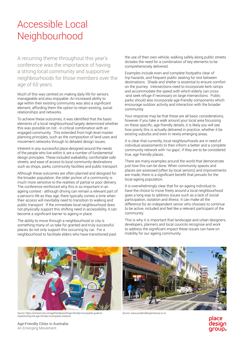# Accessible Local **Neighbourhood**

A recurring theme throughout this year's conference was the importance of having a strong local community and supportive neighbourhoods for those members over the age of 65 years.

Much of this was centred on making daily life for seniors manageable and also enjoyable. An increased ability to age within their existing community was also a significant element, affording them the option to retain existing, social relationships and networks.

To achieve these outcomes, it was identified that the basic elements of a local neighbourhood largely determined whether this was possible on not - in critical combination with an engaged community. This extended from high level master planning principles, such as the composition of land uses and movement networks through to detailed design issues.

Inherent in any successful place designed around the needs of the people who live within it, are a number of fundamental design principles. These included walkability; comfortable safe streets; and ease of access to local community destinations such as shops, parks, community facilities and public transport.

Although these outcomes are often planned and designed for the broader population, the older portion of a community is much more sensitive to the realities of partial or poor delivery. The conference reinforced why this is so important in an ageing context - although driving can remain a relevant part of a person's life as they age, there typically comes a time when their access will inevitably need to transition to walking and public transport. If the immediate local neighbourhood does not physically support this shifting need in accessibility, it can become a significant barrier to ageing in place.

The ability to move through a neighbourhood or city is something many of us take for granted and truly successful places do not only support this occurring by car. For a neighbourhood to facilitate elders who have transitioned past the use of their own vehicle, walking safely along public streets dictates the need for a combination of key elements to be comprehensively delivered.

Examples include even and complete footpaths clear of trip hazards, and frequent public seating for rest between destinations. Shade and shelter is essential to ensure comfort on the journey. Intersections need to incorporate kerb ramps and accommodate the speed with which elderly can cross -and seek refuge if necessary on large intersections. Public parks should also incorporate age-friendly components which encourage outdoor activity and interaction with the broader community.

Your response may be that these are all basic considerations, however if you take a walk around your local area focussing on these specific, age friendly details, it is likely you will see how poorly this is actually delivered in practice, whether it be existing suburbs and even in newly emerging areas.

It is clear that currently, local neighbourhoods are in need of individual assessments to then inform a better and a complete community network with 'no gaps', if they are to be considered true, age friendly places.

There are many examples around the world that demonstrate just how this can be done. When community spaces and places are assessed (often by local seniors) and improvements are made, there is a significant benefit that prevails for the local ageing population.

It is overwhelmingly clear that for an ageing individual to have the choice to move freely around a local neighbourhood goes a long way to address issues such as a lack of social participation, isolation and illness. It can make all the difference for an independent senior who chooses to continue to be active, included and feel like a relevant participant of the community.

This is why it is important that landscape and urban designers, developers, planners and local councils recognise and work to address the significant impact these issues can have on mobility for our ageing community.



*Source: https://extranet.who.int/agefriendlyworld/age-friendly-municipality-guide-to-implementing-the-age-friendly-municipality-initiative/*



*Source: www.aucklanddesignmanual.co.nz*

olace desian group.

Age-Friendly Cities in Australia: An Emerging Movement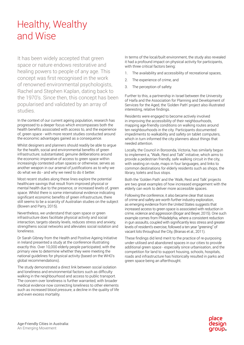# Healthy, Wealthy and Wise

It has been widely accepted that green space or nature endows restorative and healing powers to people of any age. This concept was first recognised in the work of renowned environmental psychologists, Rachel and Stephen Kaplan, dating back to the 1970's. Since then, this concept has been popularised and validated by an array of studies.

In the context of our current ageing population, research has progressed to a deeper focus which encompasses both the health benefits associated with access to, and the experience of, green space - with more recent studies conducted around the economic advantages gained as a consequence.

Whilst designers and planners should readily be able to argue for the health, social and environmental benefits of green infrastructure; substantiated, genuine deliberations around the economic imperative of access to green space within increasingly contested urban spaces or otherwise, serves as another weapon in our arsenal of justifications as to why we do what we do - and why we need to do it better.

Most recent studies along these lines explore the potential healthcare savings that result from improved physical or mental health due to the presence, or increased levels of, green space. Whilst there is some international evidence indicating significant economic benefits of green infrastructure, there still seems to be a scarcity of Australian studies on the subject (Bowen and Parry, 2015).

Nevertheless, we understand that open space or green infrastructure does facilitate physical activity and social interaction, targets obesity levels, reduces stress and anxiety, strengthens social networks and alleviates social isolation and loneliness.

Dr Sarah Gibney from the Health and Positive Ageing Initiative in Ireland presented a study at the conference illustrating exactly this. Over 10,000 elderly people participated, with the primary view to determine whether they were meeting the national guidelines for physical activity (based on the WHO's global recommendations).

The study demonstrated a direct link between social isolation and loneliness and environmental factors such as difficulty walking in the neighbourhood and access to public transport. The concern over loneliness is further warranted, with broader medical evidence now connecting loneliness to other elements such as increased blood pressure, a decline in the quality of life and even excess mortality.

In terms of the local/built environment, the study also revealed it had a profound impact on physical activity for participants, with three critical factors being:

- 1. The availability and accessibility of recreational spaces,
- 2. The experience of crime, and
- 3. The perception of safety.

Further to this, a partnership in Israel between the University of Haifa and the Association for Planning and Development of Services for the Aged, the 'Golden Path' project also illustrated interesting, relative findings.

Residents were engaged to become actively involved in improving the accessibility of their neighbourhoods, mapping age-friendly conditions on walking routes around ten neighbourhoods in the city. Participants documented impediments to walkability and safety on tablet computers, which in turn informed the city planners about things that needed attention.

Locally, the Council in Boroonda, Victoria, has similarly begun to implement a, "Walk, Rest and Talk" initiative, which aims to provide a pedestrian friendly, safe walking circuit in the city, with seating on route, maps in four languages, and links to common destinations for elderly residents such as shops, the library, toilets and bus stops.

Both the 'Golden Path' and the 'Walk, Rest and Talk' projects are two great examples of how increased engagement with the elderly can work to deliver more accessible spaces.

Following the conference, it also became clear that issues of crime and safety are worth further industry exploration, as emerging evidence from the United States suggests that increased access to green space is associated with reduction in crime, violence and aggression (Bogar and Beyer, 2015). One such example comes from Philadelphia, where a consistent reduction in gun assaults, coupled with significantly less stress and greater levels of resident's exercise, followed a ten year "greening" of vacant lots throughout the City, (Branas et al., 2011).

These findings did lend merit to the practice of re-purposing under-utilised and abandoned spaces in our cities to provide additional green space - especially since urbanisation, and the competition for land to support housing, schools, hospitals, roads and infrastructure has historically resulted in parks and green space being an afterthought.

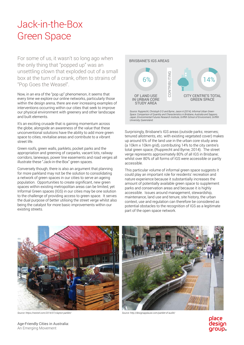### Jack-in-the-Box Green Space

For some of us, it wasn't so long ago when the only thing that "popped up" was an unsettling clown that exploded out of a small box at the turn of a crank, often to strains of "Pop Goes the Weasel".

Now, in an era of the "pop up" phenomenon, it seems that every time we explore our online networks, particularly those within the design arena, there are ever increasing examples of interventions occurring within our cities that seek to improve our physical environment with greenery and other landscape and built elements.

It's an exciting crusade that is gaining momentum across the globe, alongside an awareness of the value that these unconventional solutions have the ability to add more green space to cities, revitalise areas and contribute to a vibrant street life.

Green roofs, green walls, parklets, pocket parks and the appropriation and greening of carparks, vacant lots, railway corridors, laneways, power line easements and road verges all illustrate these "Jack-in-the-Box" green spaces.

Conversely though, there is also an argument that planning for more parkland may not be the solution to consolidating a network of green spaces in our cities to serve an ageing population. Opportunities to create significant, new green spaces within existing metropolitan areas can be limited, yet Informal Green spaces (IGS) in our cities may be one solution to the challenge of providing access to green space. It serves the dual purpose of better utilising the street verge whilst also being the catalyst for more basic improvements within our existing streets.



*Space: Comparison of Quantity and Characteristics in Brisbane, Australia and Sapporo, Japan, Environmental Futures Research Institute, Griffith School of Environment, Griffith University, Queensland.* 

Surprisingly, Brisbane's IGS areas (outside parks; reserves; tenured allotments, etc. with existing vegetated cover) makes up around 6% of the land use in the urban core study area (a 10km x 10km grid), contributing 14% to the city centre's total green space, (Rupprecht and Byrne, 2014). The street verge represents approximately 80% of all IGS in Brisbane; whilst over 80% of all forms of IGS were accessible or partly accessible.

This particular volume of informal green space suggests it could play an important role for residents' recreation and nature experience because it substantially increases the amount of potentially available green space to supplement parks and conservation areas and because it is highly accessible. Issues around management, stewardship, maintenance, land use and tenure, site history, the urban context, use and regulation can therefore be considered as potential obstacles to the recognition of IGS as a legitimate part of the open space network.





*Source: https://nextstl.com/2014/07/clayton-parklet/ Source: http://designapplause.com/parklet-sf-audi4/*



Age-Friendly Cities in Australia: An Emerging Movement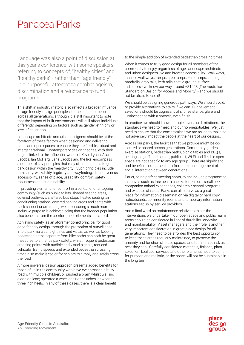#### Panacea Parks

Language was also a point of discussion at this year's conference, with some speakers referring to concepts of, "healthy cities" and "healthy parks" - rather than, "age friendly" in a purposeful attempt to combat ageism, discrimination and a reluctance to fund programs.

This shift in industry rhetoric also reflects a broader influence of 'age friendly' design principles, to the benefit of people across all generations, although it is still important to note that the impact of built environments will still affect individuals differently, depending on factors such as gender, ethnicity or level of education.

Landscape architects and urban designers should be at the forefront of these factors when designing and delivering parks and open spaces to ensure they are flexible, robust and intergenerational. Contemporary design theories, with their origins linked to the influential works of Kevin Lynch, Allan Jacobs, Ian McHarg, Jane Jacobs and the like, encompass a number of key principles that may offer a panacea to good park design within the "healthy city". Such principles include familiarity, walkability, legibility and wayfinding, distinctiveness, accessibility, sense of place, useability, comfort, safety, robustness and sustainability.

In providing elements for comfort in a parkland for an ageing community (such as public toilets, shaded seating areas, covered pathways, sheltered bus stops, heated seating, air conditioning stations, covered parking areas and seats with back support or arm rests), we are ensuring a much more inclusive purpose is achieved being that the broader population also benefits from the comfort these elements can afford.

Achieving safety, as an aforementioned principal for good aged friendly design, through the promotion of surveillance into a park via clear sightlines and vistas, as well as keeping pedestrian paths separate from bike paths can both be great measures to enhance park safety; whilst frequent pedestrian crossing points with audible and visual signals, reduced vehicular traffic speeds and extended pedestrian crossing times also make it easier for seniors to simply and safely cross the road.

A more universal design approach presents added benefits for those of us in the community who have ever crossed a busy road with multiple children, or pushed a pram whilst walking a dog on lead; operated a wheelchair or crutches; or wearing three inch heels. In any of these cases, there is a clear benefit

to the simple addition of extended pedestrian crossing times.

When it comes to truly good design for all members of the community to enjoy regardless of age, landscape architects and urban designers live and breathe accessibility. Walkways, inclined walkways, ramps, step ramps, kerb ramps, landings, handrails, grab rails, kerb rails, tactile ground surface indicators - we know our way around AS1428 (The Australian Standard on Design for Access and Mobility) - and we should not be afraid to use it!

We should be designing generous pathways. We should avoid, or provide alternatives to stairs if we can. Our pavement selections should be cognisant of slip resistance, glare and luminescence with a smooth, even finish.

In practice, we should know our objectives, our limitations, the standards we need to meet, and our non-negotiables. We just need to ensure that the compromises we are asked to make do not adversely impact the people at the heart of our designs.

Across our parks, the facilities that we provide might be colocated or shared across generations. Community gardens, exercise stations, pedestrian paths, picnic tables and BBQ's, seating, dog off leash areas, public art, Wi-Fi and flexible open space are not specific to any age group. There are significant and beneficial outcomes born from the encouragement of social interaction between generations.

Parks, being perfect meeting spots, might include programmed initiatives such as free health checks for seniors, small pet/ companion animal experiences, children / school programs and exercise classes. Parks can also serve as a great place for information dissemination via digital or hard copy noticeboards, community rooms and temporary information stations set up by service providers.

And a final word on maintenance relative to this  $-$  the interventions we undertake in our open space and public realm areas should be considered in light of durability, longevity and maintainability. Asset managers and their role is another very important consideration in great place design for all generations. They need to be afforded the best opportunity to keep these areas regularly maintained, to preserve the amenity and function of these spaces, and to minimise risk as best they can. Carefully considered materials, finishes, plant selection, facilities, services and other elements need to be fit for purpose and realistic, or the space will not be sustainable in the long term.